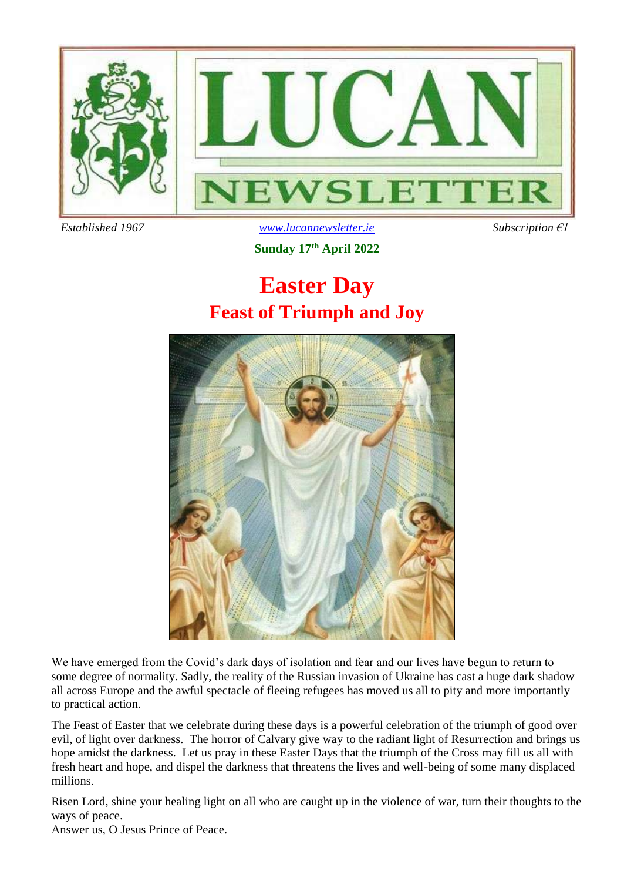

 *Established 1967 [www.lucannewsletter.ie](http://www.lucannewsletter.ie/) Subscription €1*

**Sunday 17 th April 2022**

# **Easter Day Feast of Triumph and Joy**



We have emerged from the Covid's dark days of isolation and fear and our lives have begun to return to some degree of normality. Sadly, the reality of the Russian invasion of Ukraine has cast a huge dark shadow all across Europe and the awful spectacle of fleeing refugees has moved us all to pity and more importantly to practical action.

The Feast of Easter that we celebrate during these days is a powerful celebration of the triumph of good over evil, of light over darkness. The horror of Calvary give way to the radiant light of Resurrection and brings us hope amidst the darkness. Let us pray in these Easter Days that the triumph of the Cross may fill us all with fresh heart and hope, and dispel the darkness that threatens the lives and well-being of some many displaced millions.

Risen Lord, shine your healing light on all who are caught up in the violence of war, turn their thoughts to the ways of peace.

Answer us, O Jesus Prince of Peace.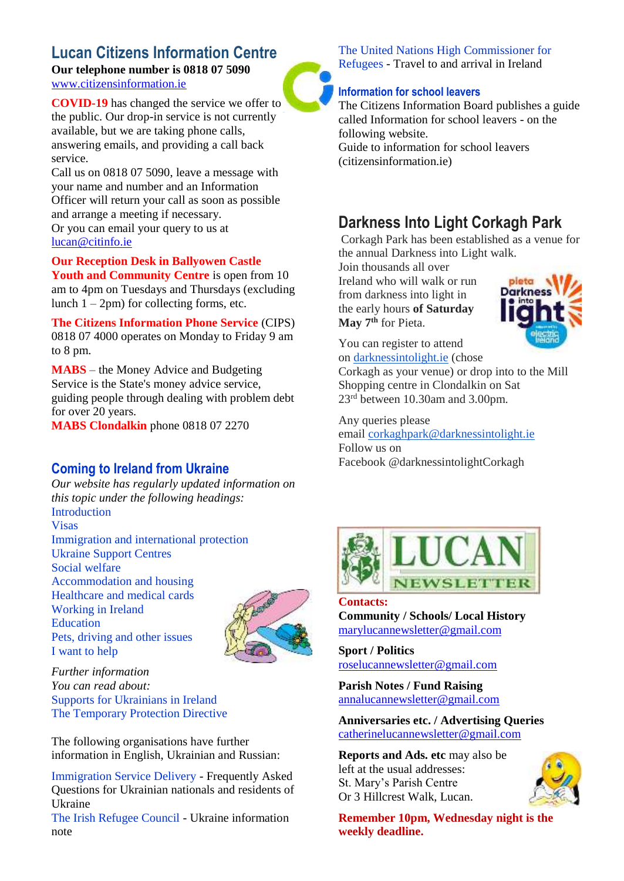### **Lucan Citizens Information Centre**

**Our telephone number is 0818 07 5090** [www.citizensinformation.ie](http://www.citizensinformation.ie/)

**COVID-19** has changed the service we offer to the public. Our drop-in service is not currently available, but we are taking phone calls, answering emails, and providing a call back service.

Call us on 0818 07 5090, leave a message with your name and number and an Information Officer will return your call as soon as possible and arrange a meeting if necessary. Or you can email your query to us at [lucan@citinfo.ie](mailto:lucan@citinfo.ie)

**Our Reception Desk in Ballyowen Castle Youth and Community Centre** is open from 10 am to 4pm on Tuesdays and Thursdays (excluding lunch  $1 - 2pm$ ) for collecting forms, etc.

**The Citizens Information Phone Service** (CIPS) 0818 07 4000 operates on Monday to Friday 9 am to 8 pm.

**MABS** – the Money Advice and Budgeting Service is the State's money advice service, guiding people through dealing with problem debt for over 20 years.

**MABS Clondalkin** phone 0818 07 2270

### **Coming to Ireland from Ukraine**

*Our website has regularly updated information on this topic under the following headings:* Introduction Visas Immigration and international protection Ukraine Support Centres Social welfare Accommodation and housing Healthcare and medical cards Working in Ireland Education Pets, driving and other issues I want to help



*Further information You can read about:* Supports for Ukrainians in Ireland The Temporary Protection Directive

The following organisations have further information in English, Ukrainian and Russian:

Immigration Service Delivery - Frequently Asked Questions for Ukrainian nationals and residents of Ukraine

The Irish Refugee Council - Ukraine information note

The United Nations High Commissioner for Refugees - Travel to and arrival in Ireland

#### **Information for school leavers**

The Citizens Information Board publishes a guide called Information for school leavers - on the following website.

Guide to information for school leavers (citizensinformation.ie)

### **Darkness Into Light Corkagh Park**

Corkagh Park has been established as a venue for the annual Darkness into Light walk.

Join thousands all over Ireland who will walk or run from darkness into light in the early hours **of Saturday May 7th** for Pieta.



You can register to attend on [darknessintolight.ie](http://darknessintolight.ie/) (chose

Corkagh as your venue) or drop into to the Mill Shopping centre in Clondalkin on Sat 23rd between 10.30am and 3.00pm.

Any queries please email [corkaghpark@darknessintolight.ie](mailto:corkaghpark@darknessintolight.ie) Follow us on Facebook @darknessintolightCorkagh



#### **Contacts:**

**Community / Schools/ Local History**  [marylucannewsletter@gmail.com](mailto:marylucannewsletter@gmail.com) 

**Sport / Politics** [roselucannewsletter@gmail.com](mailto:roselucannewsletter@gmail.com)

**Parish Notes / Fund Raising** [annalucannewsletter@gmail.com](mailto:annalucannewsletter@gmail.com)

**Anniversaries etc. / Advertising Queries**  [catherinelucannewsletter@gmail.com](mailto:catherinelucannewsletter@gmail.com)

**Reports and Ads. etc** may also be left at the usual addresses: St. Mary's Parish Centre Or 3 Hillcrest Walk, Lucan.



**Remember 10pm, Wednesday night is the weekly deadline.**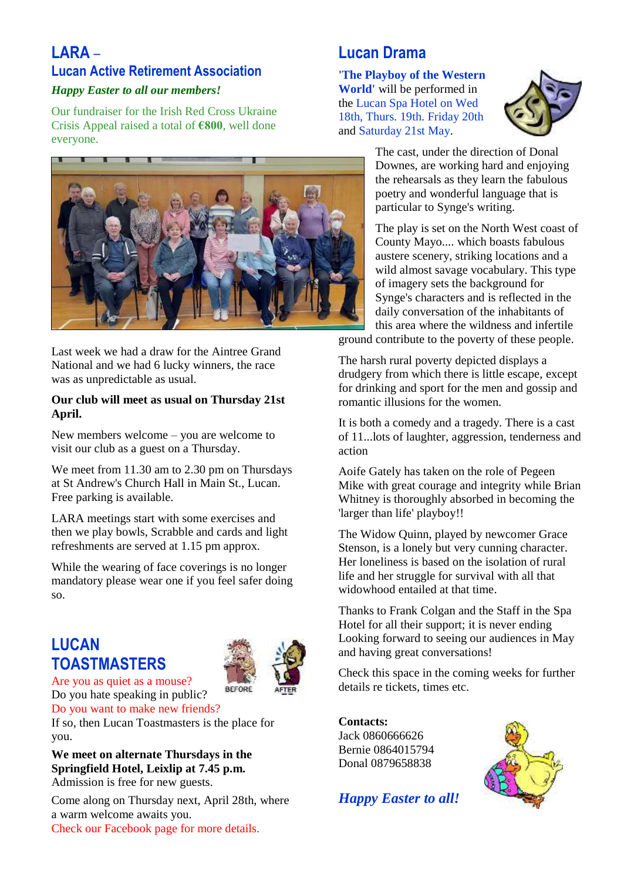### **LARA** –

### **Lucan Active Retirement Association**

### *Happy Easter to all our members!*

Our fundraiser for the Irish Red Cross Ukraine Crisis Appeal raised a total of **€800**, well done everyone.



Last week we had a draw for the Aintree Grand National and we had 6 lucky winners, the race was as unpredictable as usual.

#### **Our club will meet as usual on Thursday 21st April.**

New members welcome – you are welcome to visit our club as a guest on a Thursday.

We meet from 11.30 am to 2.30 pm on Thursdays at St Andrew's Church Hall in Main St., Lucan. Free parking is available.

LARA meetings start with some exercises and then we play bowls, Scrabble and cards and light refreshments are served at 1.15 pm approx.

While the wearing of face coverings is no longer mandatory please wear one if you feel safer doing so.

### **LUCAN TOASTMASTERS**



Are you as quiet as a mouse? Do you hate speaking in public? Do you want to make new friends?

If so, then Lucan Toastmasters is the place for you.

**We meet on alternate Thursdays in the Springfield Hotel, Leixlip at 7.45 p.m.** Admission is free for new guests.

Come along on Thursday next, April 28th, where a warm welcome awaits you. Check our Facebook page for more details.

### **Lucan Drama**

**'The Playboy of the Western World'** will be performed in the Lucan Spa Hotel on Wed 18th, Thurs. 19th. Friday 20th and Saturday 21st May.



The cast, under the direction of Donal Downes, are working hard and enjoying the rehearsals as they learn the fabulous poetry and wonderful language that is particular to Synge's writing.

The play is set on the North West coast of County Mayo.... which boasts fabulous austere scenery, striking locations and a wild almost savage vocabulary. This type of imagery sets the background for Synge's characters and is reflected in the daily conversation of the inhabitants of this area where the wildness and infertile ground contribute to the poverty of these people.

The harsh rural poverty depicted displays a drudgery from which there is little escape, except for drinking and sport for the men and gossip and

romantic illusions for the women.

It is both a comedy and a tragedy. There is a cast of 11...lots of laughter, aggression, tenderness and action

Aoife Gately has taken on the role of Pegeen Mike with great courage and integrity while Brian Whitney is thoroughly absorbed in becoming the 'larger than life' playboy!!

The Widow Quinn, played by newcomer Grace Stenson, is a lonely but very cunning character. Her loneliness is based on the isolation of rural life and her struggle for survival with all that widowhood entailed at that time.

Thanks to Frank Colgan and the Staff in the Spa Hotel for all their support; it is never ending Looking forward to seeing our audiences in May and having great conversations!

Check this space in the coming weeks for further details re tickets, times etc.

**Contacts:**  Jack 0860666626 Bernie 0864015794 Donal 0879658838



*Happy Easter to all!*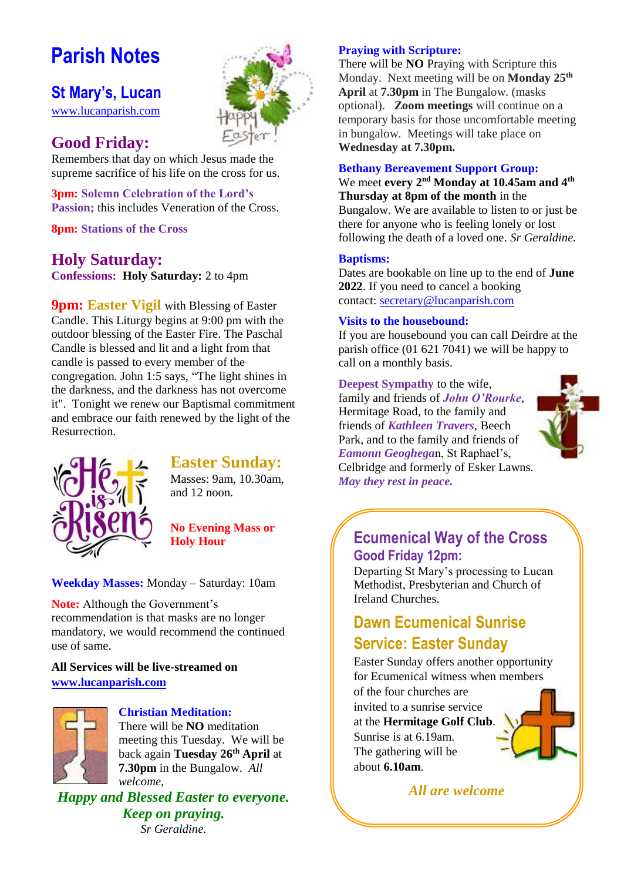# **Parish Notes**

### **St Mary's, Lucan**

[www.lucanparish.com](http://www.lucanparish.com/)

### **Good Friday:**

Remembers that day on which Jesus made the supreme sacrifice of his life on the cross for us.

**3pm: Solemn Celebration of the Lord's Passion:** this includes Veneration of the Cross.

**8pm: Stations of the Cross**

### **Holy Saturday:**

**Confessions: Holy Saturday:** 2 to 4pm

**9pm: Easter Vigil** with Blessing of Easter Candle. This Liturgy begins at 9:00 pm with the outdoor blessing of the Easter Fire. The Paschal Candle is blessed and lit and a light from that candle is passed to every member of the congregation. John 1:5 says, "The light shines in the darkness, and the darkness has not overcome it". Tonight we renew our Baptismal commitment and embrace our faith renewed by the light of the Resurrection.



### **Easter Sunday:**

Masses: 9am, 10.30am, and 12 noon.

**No Evening Mass or Holy Hour** 

**Weekday Masses:** Monday – Saturday: 10am

**Note:** Although the Government's recommendation is that masks are no longer mandatory, we would recommend the continued use of same.

### **All Services will be live-streamed on [www.lucanparish.com](http://www.lucanparish.com/)**



#### **Christian Meditation:**

There will be **NO** meditation meeting this Tuesday. We will be back again **Tuesday 26th April** at **7.30pm** in the Bungalow. *All welcome,*

*Happy and Blessed Easter to everyone. Keep on praying. Sr Geraldine.*

### **Praying with Scripture:**

There will be **NO** Praying with Scripture this Monday. Next meeting will be on **Monday 25th April** at **7.30pm** in The Bungalow. (masks optional). **Zoom meetings** will continue on a temporary basis for those uncomfortable meeting in bungalow. Meetings will take place on **Wednesday at 7.30pm.**

#### **Bethany Bereavement Support Group:**

#### We meet **every 2nd Monday at 10.45am and 4th Thursday at 8pm of the month** in the

Bungalow. We are available to listen to or just be there for anyone who is feeling lonely or lost following the death of a loved one. *Sr Geraldine.* 

#### **Baptisms:**

Dates are bookable on line up to the end of **June 2022**. If you need to cancel a booking contact: [secretary@lucanparish.com](mailto:secretary@lucanparish.com?subject=Cancellation%20of%20Baptism%20Booking&body=Dear%20Secretary%2C%0AI%20wish%20to%20cancel%20the%20booking%20made%20for%20baby%3A%0Aon%20date%3A%0AThank%20You)

#### **Visits to the housebound:**

If you are housebound you can call Deirdre at the parish office (01 621 7041) we will be happy to call on a monthly basis.

### **Deepest Sympathy** to the wife,

family and friends of *John O'Rourke*, Hermitage Road, to the family and friends of *Kathleen Travers*, Beech Park, and to the family and friends of *Eamonn Geoghega*n, St Raphael's, Celbridge and formerly of Esker Lawns. *May they rest in peace.* 



### **Ecumenical Way of the Cross Good Friday 12pm:**

Departing St Mary's processing to Lucan Methodist, Presbyterian and Church of Ireland Churches.

### **Dawn Ecumenical Sunrise Service: Easter Sunday**

Easter Sunday offers another opportunity for Ecumenical witness when members of the four churches are invited to a sunrise service at the **Hermitage Golf Club**. Sunrise is at 6.19am. The gathering will be about **6.10am**.

*All are welcome*

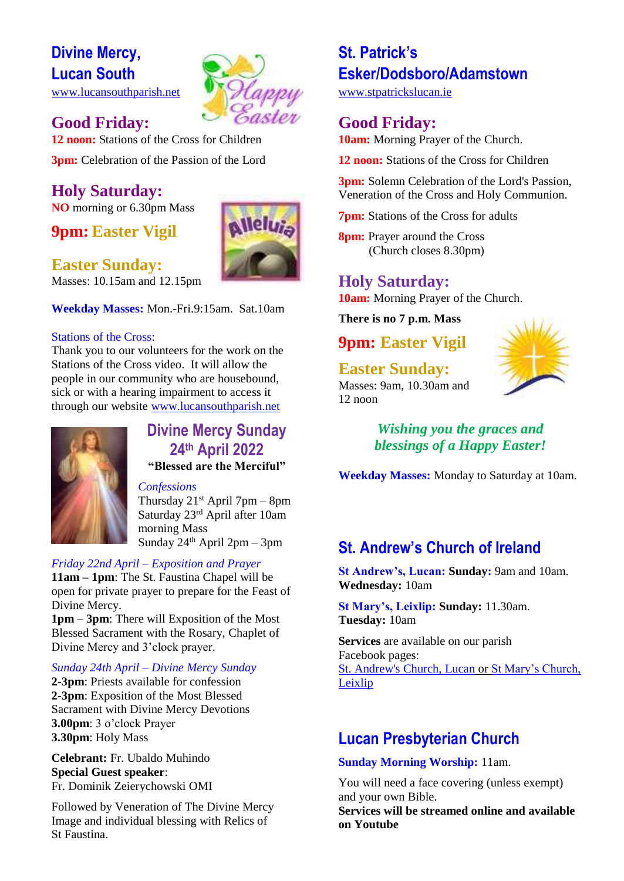### **Divine Mercy, Lucan South** [www.lucansouthparish.net](http://www.lucansouthparish.net/)



**Good Friday: 12 noon:** Stations of the Cross for Children **3pm:** Celebration of the Passion of the Lord

#### **Holy Saturday: NO** morning or 6.30pm Mass

**9pm: Easter Vigil**

### **Easter Sunday:**



Masses: 10.15am and 12.15pm

**Weekday Masses:** Mon.-Fri.9:15am. Sat.10am

#### Stations of the Cross:

Thank you to our volunteers for the work on the Stations of the Cross video. It will allow the people in our community who are housebound, sick or with a hearing impairment to access it through our website [www.lucansouthparish.net](http://www.lucansouthparish.net/)



### **Divine Mercy Sunday 24th April 2022 "Blessed are the Merciful"**

*Confessions* Thursday  $21^{st}$  April 7pm – 8pm Saturday 23rd April after 10am morning Mass Sunday  $24<sup>th</sup>$  April  $2pm - 3pm$ 

### *Friday 22nd April – Exposition and Prayer*

**11am – 1pm**: The St. Faustina Chapel will be open for private prayer to prepare for the Feast of Divine Mercy.

**1pm – 3pm**: There will Exposition of the Most Blessed Sacrament with the Rosary, Chaplet of Divine Mercy and 3'clock prayer.

#### *Sunday 24th April – Divine Mercy Sunday*

**2-3pm**: Priests available for confession **2-3pm**: Exposition of the Most Blessed Sacrament with Divine Mercy Devotions **3.00pm**: 3 o'clock Prayer **3.30pm**: Holy Mass

**Celebrant:** Fr. Ubaldo Muhindo **Special Guest speaker**: Fr. Dominik Zeierychowski OMI

Followed by Veneration of The Divine Mercy Image and individual blessing with Relics of St Faustina.

### **St. Patrick's Esker/Dodsboro/Adamstown**

[www.stpatrickslucan.ie](http://www.stpatrickslucan.ie/)

### **Good Friday:**

**10am:** Morning Prayer of the Church.

**12 noon:** Stations of the Cross for Children

**3pm:** Solemn Celebration of the Lord's Passion, Veneration of the Cross and Holy Communion.

**7pm:** Stations of the Cross for adults

**8pm:** Prayer around the Cross (Church closes 8.30pm)

**Holy Saturday: 10am:** Morning Prayer of the Church.

**There is no 7 p.m. Mass**

### **9pm: Easter Vigil**

**Easter Sunday:**



Masses: 9am, 10.30am and  $12$  noon

> *Wishing you the graces and blessings of a Happy Easter!*

**Weekday Masses:** Monday to Saturday at 10am.

### **St. Andrew's Church of Ireland**

**St Andrew's, Lucan: Sunday:** 9am and 10am. **Wednesday:** 10am

**St Mary's, Leixlip: Sunday:** 11.30am. **Tuesday:** 10am

**Services** are available on our parish Facebook pages: [St. Andrew's Church, Lucan](https://www.facebook.com/standrewslucan/) or [St Mary's Church,](https://www.facebook.com/stmarysleixlip/)  [Leixlip](https://www.facebook.com/stmarysleixlip/)

### **Lucan Presbyterian Church**

**Sunday Morning Worship:** 11am.

You will need a face covering (unless exempt) and your own Bible.

**Services will be streamed online and available on Youtube**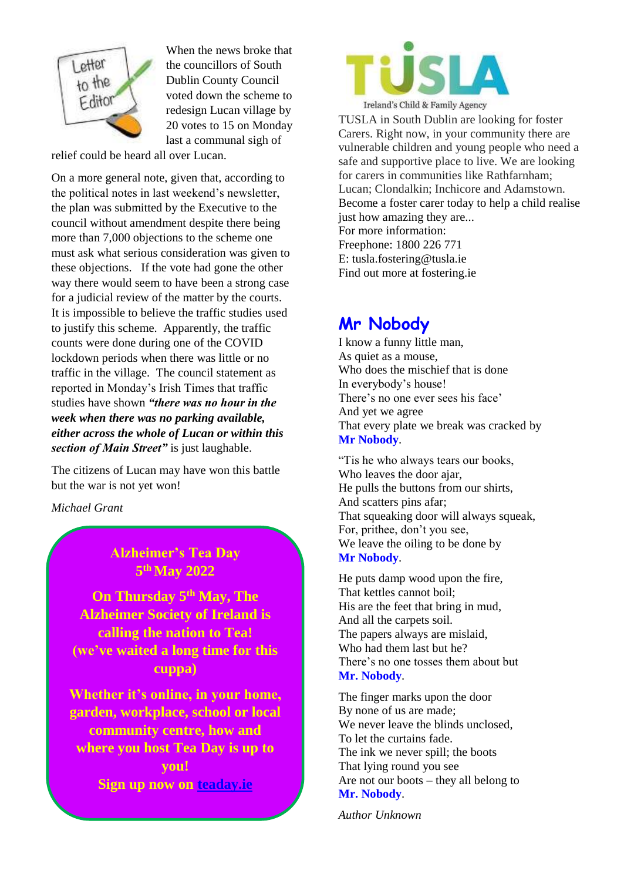

When the news broke that the councillors of South Dublin County Council voted down the scheme to redesign Lucan village by 20 votes to 15 on Monday last a communal sigh of

relief could be heard all over Lucan.

On a more general note, given that, according to the political notes in last weekend's newsletter, the plan was submitted by the Executive to the council without amendment despite there being more than 7,000 objections to the scheme one must ask what serious consideration was given to these objections. If the vote had gone the other way there would seem to have been a strong case for a judicial review of the matter by the courts. It is impossible to believe the traffic studies used to justify this scheme. Apparently, the traffic counts were done during one of the COVID lockdown periods when there was little or no traffic in the village. The council statement as reported in Monday's Irish Times that traffic studies have shown *"there was no hour in the week when there was no parking available, either across the whole of Lucan or within this section of Main Street"* is just laughable.

The citizens of Lucan may have won this battle but the war is not yet won!

*Michael Grant*

### **Alzheimer's Tea Day 5 th May 2022**

**On Thursday 5th May, The Alzheimer Society of Ireland is calling the nation to Tea! (we've waited a long time for this cuppa)**

**Whether it's online, in your home, garden, workplace, school or local community centre, how and where you host Tea Day is up to you! Sign up now on teaday.ie**



TUSLA in South Dublin are looking for foster Carers. Right now, in your community there are vulnerable children and young people who need a safe and supportive place to live. We are looking for carers in communities like Rathfarnham; Lucan; Clondalkin; Inchicore and Adamstown. Become a foster carer today to help a child realise just how amazing they are... For more information: Freephone: 1800 226 771 E: tusla.fostering@tusla.ie Find out more at fostering.ie

### **Mr Nobody**

I know a funny little man, As quiet as a mouse, Who does the mischief that is done In everybody's house! There's no one ever sees his face' And yet we agree That every plate we break was cracked by **Mr Nobody**.

"Tis he who always tears our books, Who leaves the door ajar, He pulls the buttons from our shirts, And scatters pins afar; That squeaking door will always squeak, For, prithee, don't you see, We leave the oiling to be done by **Mr Nobody**.

He puts damp wood upon the fire, That kettles cannot boil; His are the feet that bring in mud, And all the carpets soil. The papers always are mislaid, Who had them last but he? There's no one tosses them about but **Mr. Nobody**.

The finger marks upon the door By none of us are made; We never leave the blinds unclosed, To let the curtains fade. The ink we never spill; the boots That lying round you see Are not our boots – they all belong to **Mr. Nobody**.

*Author Unknown*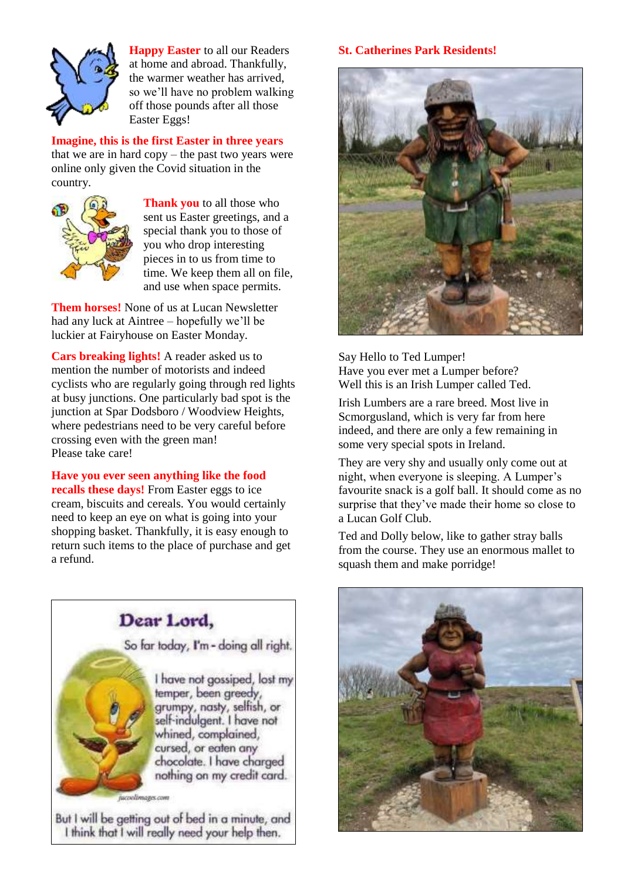

**Happy Easter** to all our Readers at home and abroad. Thankfully, the warmer weather has arrived, so we'll have no problem walking off those pounds after all those Easter Eggs!

**Imagine, this is the first Easter in three years** that we are in hard  $copy$  – the past two years were online only given the Covid situation in the country.



**Thank you** to all those who sent us Easter greetings, and a special thank you to those of you who drop interesting pieces in to us from time to time. We keep them all on file, and use when space permits.

**Them horses!** None of us at Lucan Newsletter had any luck at Aintree – hopefully we'll be luckier at Fairyhouse on Easter Monday.

**Cars breaking lights!** A reader asked us to mention the number of motorists and indeed cyclists who are regularly going through red lights at busy junctions. One particularly bad spot is the junction at Spar Dodsboro / Woodview Heights, where pedestrians need to be very careful before crossing even with the green man! Please take care!

### **Have you ever seen anything like the food**

**recalls these days!** From Easter eggs to ice cream, biscuits and cereals. You would certainly need to keep an eye on what is going into your shopping basket. Thankfully, it is easy enough to return such items to the place of purchase and get a refund.



But I will be getting out of bed in a minute, and I think that I will really need your help then.

#### **St. Catherines Park Residents!**



Say Hello to Ted Lumper! Have you ever met a Lumper before? Well this is an Irish Lumper called Ted.

Irish Lumbers are a rare breed. Most live in Scmorgusland, which is very far from here indeed, and there are only a few remaining in some very special spots in Ireland.

They are very shy and usually only come out at night, when everyone is sleeping. A Lumper's favourite snack is a golf ball. It should come as no surprise that they've made their home so close to a Lucan Golf Club.

Ted and Dolly below, like to gather stray balls from the course. They use an enormous mallet to squash them and make porridge!

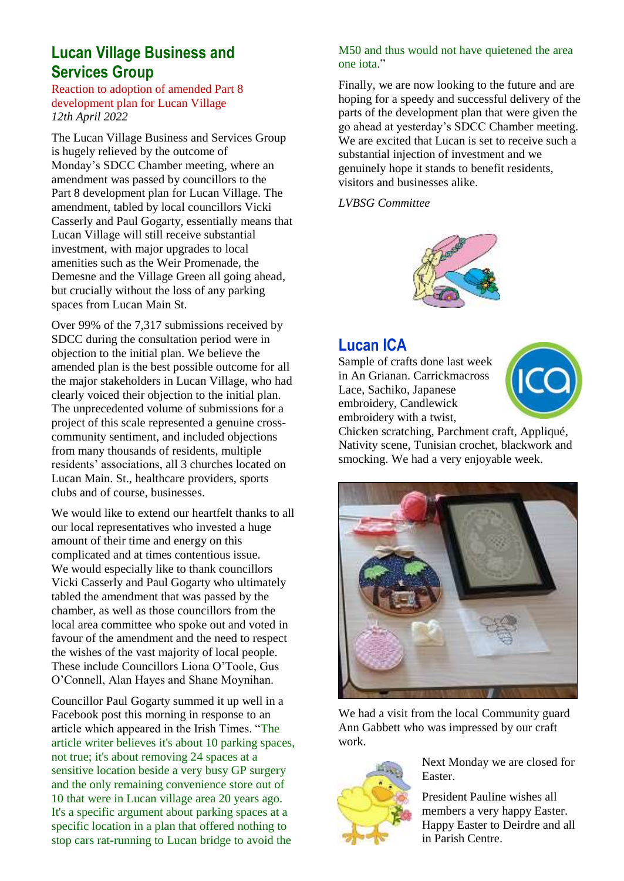### **Lucan Village Business and Services Group**

Reaction to adoption of amended Part 8 development plan for Lucan Village *12th April 2022*

The Lucan Village Business and Services Group is hugely relieved by the outcome of Monday's SDCC Chamber meeting, where an amendment was passed by councillors to the Part 8 development plan for Lucan Village. The amendment, tabled by local councillors Vicki Casserly and Paul Gogarty, essentially means that Lucan Village will still receive substantial investment, with major upgrades to local amenities such as the Weir Promenade, the Demesne and the Village Green all going ahead, but crucially without the loss of any parking spaces from Lucan Main St.

Over 99% of the 7,317 submissions received by SDCC during the consultation period were in objection to the initial plan. We believe the amended plan is the best possible outcome for all the major stakeholders in Lucan Village, who had clearly voiced their objection to the initial plan. The unprecedented volume of submissions for a project of this scale represented a genuine crosscommunity sentiment, and included objections from many thousands of residents, multiple residents' associations, all 3 churches located on Lucan Main. St., healthcare providers, sports clubs and of course, businesses.

We would like to extend our heartfelt thanks to all our local representatives who invested a huge amount of their time and energy on this complicated and at times contentious issue. We would especially like to thank councillors Vicki Casserly and Paul Gogarty who ultimately tabled the amendment that was passed by the chamber, as well as those councillors from the local area committee who spoke out and voted in favour of the amendment and the need to respect the wishes of the vast majority of local people. These include Councillors Liona O'Toole, Gus O'Connell, Alan Hayes and Shane Moynihan.

Councillor Paul Gogarty summed it up well in a Facebook post this morning in response to an article which appeared in the Irish Times. "The article writer believes it's about 10 parking spaces, not true; it's about removing 24 spaces at a sensitive location beside a very busy GP surgery and the only remaining convenience store out of 10 that were in Lucan village area 20 years ago. It's a specific argument about parking spaces at a specific location in a plan that offered nothing to stop cars rat-running to Lucan bridge to avoid the

#### M50 and thus would not have quietened the area one iota."

Finally, we are now looking to the future and are hoping for a speedy and successful delivery of the parts of the development plan that were given the go ahead at yesterday's SDCC Chamber meeting. We are excited that Lucan is set to receive such a substantial injection of investment and we genuinely hope it stands to benefit residents, visitors and businesses alike.

*LVBSG Committee*



### **Lucan ICA**

Sample of crafts done last week in An Grianan. Carrickmacross Lace, Sachiko, Japanese embroidery, Candlewick embroidery with a twist,



Chicken scratching, Parchment craft, Appliqué, Nativity scene, Tunisian crochet, blackwork and smocking. We had a very enjoyable week.



We had a visit from the local Community guard Ann Gabbett who was impressed by our craft work.



Next Monday we are closed for Easter.

President Pauline wishes all members a very happy Easter. Happy Easter to Deirdre and all in Parish Centre.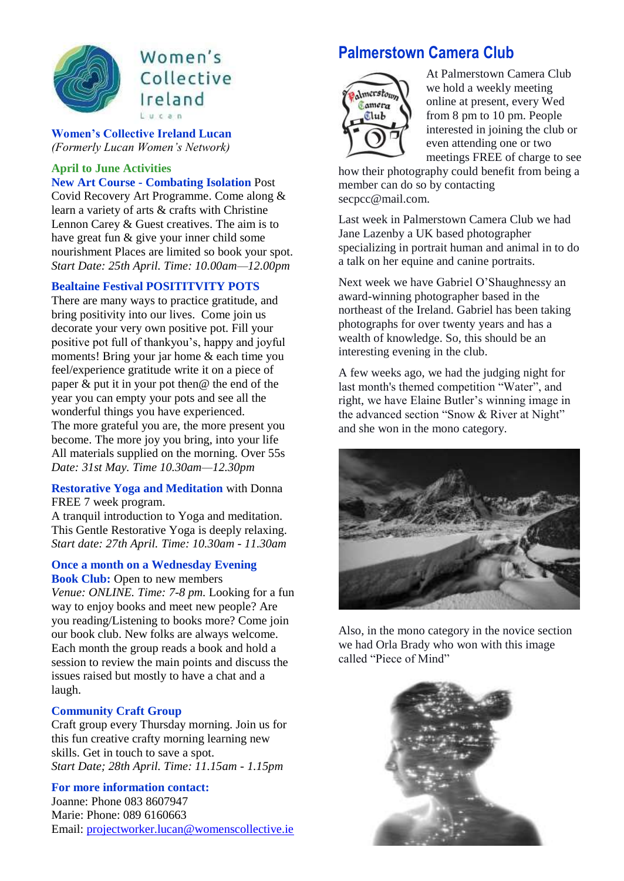

### Women's Collective Ireland  $L$ ucan

**Women's Collective Ireland Lucan**  *(Formerly Lucan Women's Network)*

### **April to June Activities New Art Course - Combating Isolation** Post

Covid Recovery Art Programme. Come along & learn a variety of arts & crafts with Christine Lennon Carey & Guest creatives. The aim is to have great fun & give your inner child some nourishment Places are limited so book your spot. *Start Date: 25th April. Time: 10.00am—12.00pm* 

#### **Bealtaine Festival POSITITVITY POTS**

There are many ways to practice gratitude, and bring positivity into our lives. Come join us decorate your very own positive pot. Fill your positive pot full of thankyou's, happy and joyful moments! Bring your jar home & each time you feel/experience gratitude write it on a piece of paper  $\&$  put it in your pot then  $\&$  the end of the year you can empty your pots and see all the wonderful things you have experienced. The more grateful you are, the more present you become. The more joy you bring, into your life All materials supplied on the morning. Over 55s *Date: 31st May. Time 10.30am—12.30pm* 

#### **Restorative Yoga and Meditation** with Donna FREE 7 week program.

A tranquil introduction to Yoga and meditation. This Gentle Restorative Yoga is deeply relaxing. *Start date: 27th April. Time: 10.30am - 11.30am*

#### **Once a month on a Wednesday Evening**

**Book Club:** Open to new members *Venue: ONLINE. Time: 7-8 pm.* Looking for a fun way to enjoy books and meet new people? Are you reading/Listening to books more? Come join our book club. New folks are always welcome. Each month the group reads a book and hold a session to review the main points and discuss the issues raised but mostly to have a chat and a laugh.

#### **Community Craft Group**

Craft group every Thursday morning. Join us for this fun creative crafty morning learning new skills. Get in touch to save a spot. *Start Date; 28th April. Time: 11.15am - 1.15pm* 

#### **For more information contact:**

Joanne: Phone 083 8607947 Marie: Phone: 089 6160663 Email[: projectworker.lucan@womenscollective.ie](mailto:projectworker.lucan@womenscollective.ie)

### **Palmerstown Camera Club**



At Palmerstown Camera Club we hold a weekly meeting online at present, every Wed from 8 pm to 10 pm. People interested in joining the club or even attending one or two meetings FREE of charge to see

how their photography could benefit from being a member can do so by contacting secpcc@mail.com.

Last week in Palmerstown Camera Club we had Jane Lazenby a UK based photographer specializing in portrait human and animal in to do a talk on her equine and canine portraits.

Next week we have Gabriel O'Shaughnessy an award-winning photographer based in the northeast of the Ireland. Gabriel has been taking photographs for over twenty years and has a wealth of knowledge. So, this should be an interesting evening in the club.

A few weeks ago, we had the judging night for last month's themed competition "Water", and right, we have Elaine Butler's winning image in the advanced section "Snow & River at Night" and she won in the mono category.



Also, in the mono category in the novice section we had Orla Brady who won with this image called "Piece of Mind"

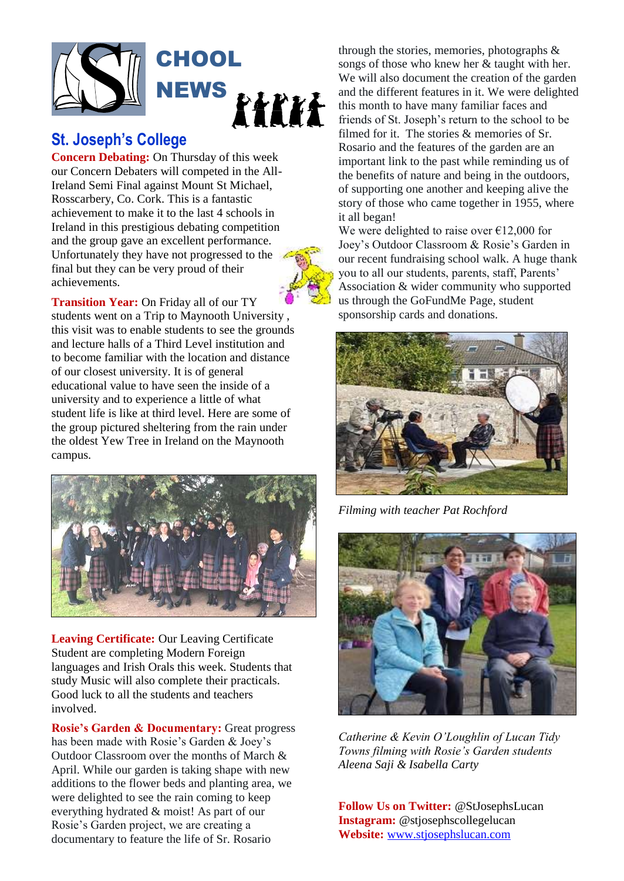

### **St. Joseph's College**

**Concern Debating:** On Thursday of this week our Concern Debaters will competed in the All-Ireland Semi Final against Mount St Michael, Rosscarbery, Co. Cork. This is a fantastic achievement to make it to the last 4 schools in Ireland in this prestigious debating competition and the group gave an excellent performance. Unfortunately they have not progressed to the final but they can be very proud of their achievements.



**Transition Year:** On Friday all of our TY students went on a Trip to Maynooth University , this visit was to enable students to see the grounds and lecture halls of a Third Level institution and to become familiar with the location and distance of our closest university. It is of general educational value to have seen the inside of a university and to experience a little of what student life is like at third level. Here are some of the group pictured sheltering from the rain under the oldest Yew Tree in Ireland on the Maynooth campus.



**Leaving Certificate:** Our Leaving Certificate Student are completing Modern Foreign languages and Irish Orals this week. Students that study Music will also complete their practicals. Good luck to all the students and teachers involved.

**Rosie's Garden & Documentary:** Great progress has been made with Rosie's Garden & Joey's Outdoor Classroom over the months of March & April. While our garden is taking shape with new additions to the flower beds and planting area, we were delighted to see the rain coming to keep everything hydrated & moist! As part of our Rosie's Garden project, we are creating a documentary to feature the life of Sr. Rosario

through the stories, memories, photographs & songs of those who knew her & taught with her. We will also document the creation of the garden and the different features in it. We were delighted this month to have many familiar faces and friends of St. Joseph's return to the school to be filmed for it. The stories & memories of Sr. Rosario and the features of the garden are an important link to the past while reminding us of the benefits of nature and being in the outdoors, of supporting one another and keeping alive the story of those who came together in 1955, where it all began!

We were delighted to raise over  $\epsilon$ 12,000 for Joey's Outdoor Classroom & Rosie's Garden in our recent fundraising school walk. A huge thank you to all our students, parents, staff, Parents' Association & wider community who supported us through the GoFundMe Page, student sponsorship cards and donations.



*Filming with teacher Pat Rochford*



*Catherine & Kevin O'Loughlin of Lucan Tidy Towns filming with Rosie's Garden students Aleena Saji & Isabella Carty*

**Follow Us on Twitter:** @StJosephsLucan **Instagram:** @stjosephscollegelucan **Website:** [www.stjosephslucan.com](http://www.stjosephslucan.com/)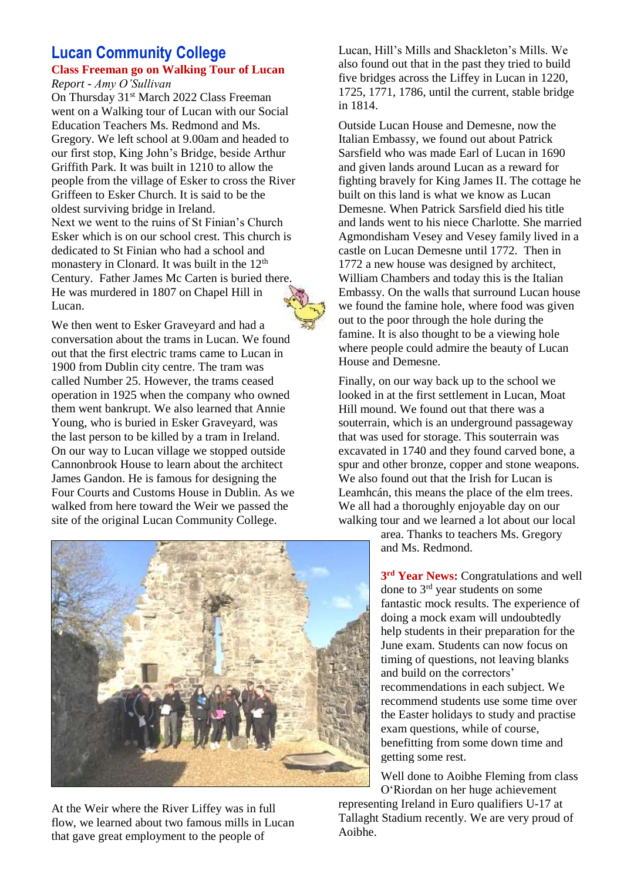### **Lucan Community College Class Freeman go on Walking Tour of Lucan**

*Report - Amy O'Sullivan*

On Thursday 31<sup>st</sup> March 2022 Class Freeman went on a Walking tour of Lucan with our Social Education Teachers Ms. Redmond and Ms. Gregory. We left school at 9.00am and headed to our first stop, King John's Bridge, beside Arthur Griffith Park. It was built in 1210 to allow the people from the village of Esker to cross the River Griffeen to Esker Church. It is said to be the oldest surviving bridge in Ireland. Next we went to the ruins of St Finian's Church Esker which is on our school crest. This church is dedicated to St Finian who had a school and monastery in Clonard. It was built in the 12<sup>th</sup> Century. Father James Mc Carten is buried there. He was murdered in 1807 on Chapel Hill in Lucan.



We then went to Esker Graveyard and had a conversation about the trams in Lucan. We found out that the first electric trams came to Lucan in 1900 from Dublin city centre. The tram was called Number 25. However, the trams ceased operation in 1925 when the company who owned them went bankrupt. We also learned that Annie Young, who is buried in Esker Graveyard, was the last person to be killed by a tram in Ireland. On our way to Lucan village we stopped outside Cannonbrook House to learn about the architect James Gandon. He is famous for designing the Four Courts and Customs House in Dublin. As we walked from here toward the Weir we passed the site of the original Lucan Community College.



At the Weir where the River Liffey was in full flow, we learned about two famous mills in Lucan that gave great employment to the people of

Lucan, Hill's Mills and Shackleton's Mills. We also found out that in the past they tried to build five bridges across the Liffey in Lucan in 1220, 1725, 1771, 1786, until the current, stable bridge in 1814.

Outside Lucan House and Demesne, now the Italian Embassy, we found out about Patrick Sarsfield who was made Earl of Lucan in 1690 and given lands around Lucan as a reward for fighting bravely for King James II. The cottage he built on this land is what we know as Lucan Demesne. When Patrick Sarsfield died his title and lands went to his niece Charlotte. She married Agmondisham Vesey and Vesey family lived in a castle on Lucan Demesne until 1772. Then in 1772 a new house was designed by architect, William Chambers and today this is the Italian Embassy. On the walls that surround Lucan house we found the famine hole, where food was given out to the poor through the hole during the famine. It is also thought to be a viewing hole where people could admire the beauty of Lucan House and Demesne.

Finally, on our way back up to the school we looked in at the first settlement in Lucan, Moat Hill mound. We found out that there was a souterrain, which is an underground passageway that was used for storage. This souterrain was excavated in 1740 and they found carved bone, a spur and other bronze, copper and stone weapons. We also found out that the Irish for Lucan is Leamhcán, this means the place of the elm trees. We all had a thoroughly enjoyable day on our walking tour and we learned a lot about our local

area. Thanks to teachers Ms. Gregory and Ms. Redmond.

**3 rd Year News:** Congratulations and well done to 3<sup>rd</sup> year students on some fantastic mock results. The experience of doing a mock exam will undoubtedly help students in their preparation for the June exam. Students can now focus on timing of questions, not leaving blanks and build on the correctors' recommendations in each subject. We recommend students use some time over the Easter holidays to study and practise exam questions, while of course, benefitting from some down time and getting some rest.

Well done to Aoibhe Fleming from class O'Riordan on her huge achievement representing Ireland in Euro qualifiers U-17 at

Tallaght Stadium recently. We are very proud of Aoibhe.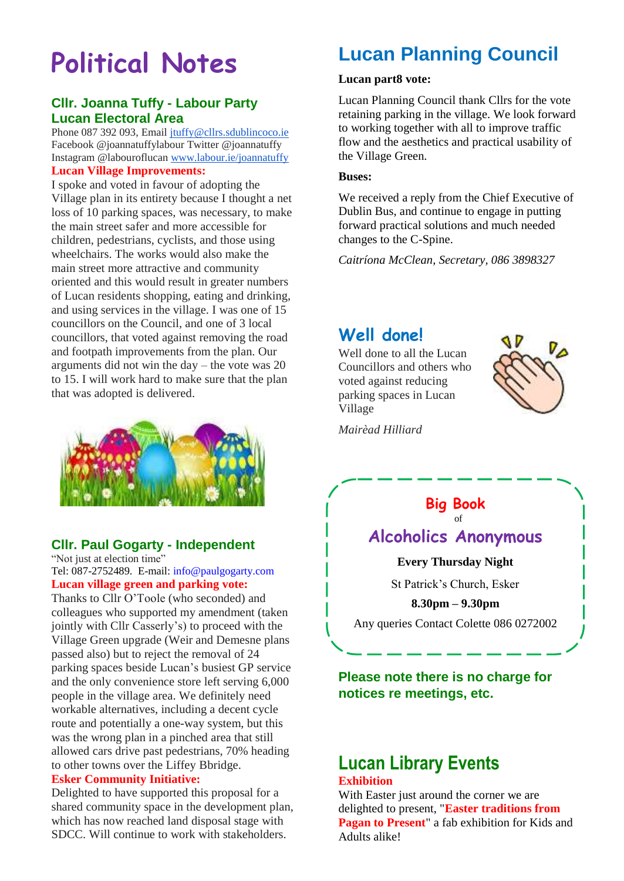# **Political Notes**

### **Cllr. Joanna Tuffy - Labour Party Lucan Electoral Area**

Phone 087 392 093, Email [jtuffy@cllrs.sdublincoco.ie](mailto:jtuffy@cllrs.sdublincoco.ie) Facebook @joannatuffylabour Twitter @joannatuffy Instagram @labouroflucan [www.labour.ie/joannatuffy](http://www.labour.ie/joannatuffy) **Lucan Village Improvements:**

I spoke and voted in favour of adopting the Village plan in its entirety because I thought a net loss of 10 parking spaces, was necessary, to make the main street safer and more accessible for children, pedestrians, cyclists, and those using wheelchairs. The works would also make the main street more attractive and community oriented and this would result in greater numbers of Lucan residents shopping, eating and drinking, and using services in the village. I was one of 15 councillors on the Council, and one of 3 local councillors, that voted against removing the road and footpath improvements from the plan. Our arguments did not win the day – the vote was 20 to 15. I will work hard to make sure that the plan that was adopted is delivered.



### **Cllr. Paul Gogarty - Independent**

"Not just at election time"

Tel: 087-2752489. E-mail: [info@paulgogarty.com](mailto:info@paulgogarty.com) **Lucan village green and parking vote:**

Thanks to Cllr O'Toole (who seconded) and colleagues who supported my amendment (taken jointly with Cllr Casserly's) to proceed with the Village Green upgrade (Weir and Demesne plans passed also) but to reject the removal of 24 parking spaces beside Lucan's busiest GP service and the only convenience store left serving 6,000 people in the village area. We definitely need workable alternatives, including a decent cycle route and potentially a one-way system, but this was the wrong plan in a pinched area that still allowed cars drive past pedestrians, 70% heading to other towns over the Liffey Bbridge.

#### **Esker Community Initiative:**

Delighted to have supported this proposal for a shared community space in the development plan, which has now reached land disposal stage with SDCC. Will continue to work with stakeholders.

## **Lucan Planning Council**

#### **Lucan part8 vote:**

Lucan Planning Council thank Cllrs for the vote retaining parking in the village. We look forward to working together with all to improve traffic flow and the aesthetics and practical usability of the Village Green.

#### **Buses:**

We received a reply from the Chief Executive of Dublin Bus, and continue to engage in putting forward practical solutions and much needed changes to the C-Spine.

*Caitríona McClean, Secretary, 086 3898327*

### **Well done!**

Well done to all the Lucan Councillors and others who voted against reducing parking spaces in Lucan Village



*Mairèad Hilliard*

### **Big Book**

### of **Alcoholics Anonymous**

#### **Every Thursday Night**

St Patrick's Church, Esker

**8.30pm – 9.30pm** Any queries Contact Colette 086 0272002

**Please note there is no charge for notices re meetings, etc.** 

# **Lucan Library Events**

#### **Exhibition**

With Easter just around the corner we are delighted to present, "**Easter traditions from Pagan to Present**" a fab exhibition for Kids and Adults alike!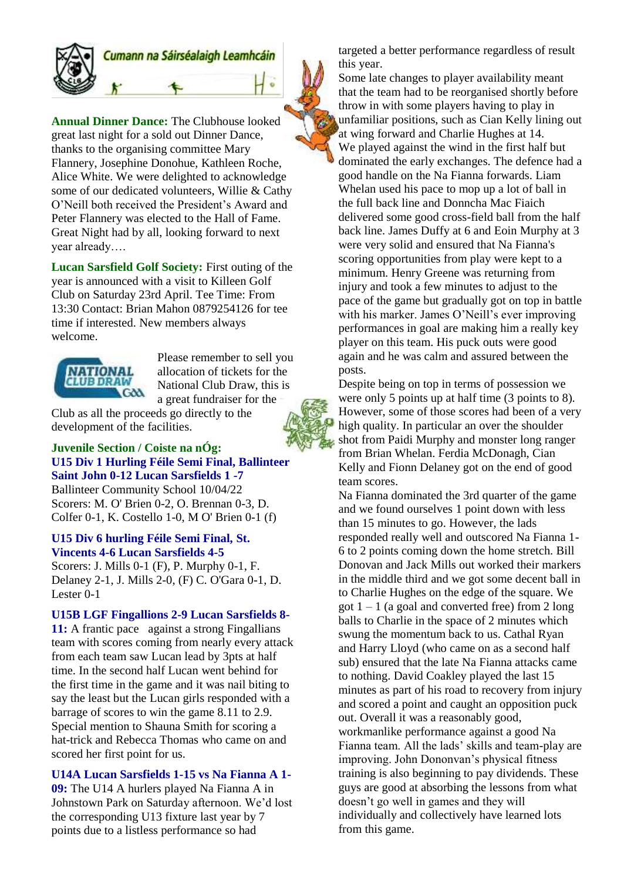

### Cumann na Sáirséalaigh Leamhcáin

**Annual Dinner Dance:** The Clubhouse looked great last night for a sold out Dinner Dance, thanks to the organising committee Mary Flannery, Josephine Donohue, Kathleen Roche, Alice White. We were delighted to acknowledge some of our dedicated volunteers, Willie & Cathy O'Neill both received the President's Award and Peter Flannery was elected to the Hall of Fame. Great Night had by all, looking forward to next year already….

**Lucan Sarsfield Golf Society:** First outing of the year is announced with a visit to Killeen Golf Club on Saturday 23rd April. Tee Time: From 13:30 Contact: Brian Mahon 0879254126 for tee time if interested. New members always welcome.



Please remember to sell you allocation of tickets for the National Club Draw, this is a great fundraiser for the

Club as all the proceeds go directly to the development of the facilities.

#### **Juvenile Section / Coiste na nÓg: U15 Div 1 Hurling Féile Semi Final, Ballinteer Saint John 0-12 Lucan Sarsfields 1 -7**

Ballinteer Community School 10/04/22 Scorers: M. O' Brien 0-2, O. Brennan 0-3, D. Colfer 0-1, K. Costello 1-0, M O' Brien 0-1 (f)

#### **U15 Div 6 hurling Féile Semi Final, St. Vincents 4-6 Lucan Sarsfields 4-5**

Scorers: J. Mills 0-1 (F), P. Murphy 0-1, F. Delaney 2-1, J. Mills 2-0, (F) C. O'Gara 0-1, D. Lester 0-1

**U15B LGF Fingallions 2-9 Lucan Sarsfields 8-**

**11:** A frantic pace against a strong Fingallians team with scores coming from nearly every attack from each team saw Lucan lead by 3pts at half time. In the second half Lucan went behind for the first time in the game and it was nail biting to say the least but the Lucan girls responded with a barrage of scores to win the game 8.11 to 2.9. Special mention to Shauna Smith for scoring a hat-trick and Rebecca Thomas who came on and scored her first point for us.

#### **U14A Lucan Sarsfields 1-15 vs Na Fianna A 1-**

**09:** The U14 A hurlers played Na Fianna A in Johnstown Park on Saturday afternoon. We'd lost the corresponding U13 fixture last year by 7 points due to a listless performance so had

targeted a better performance regardless of result this year.

Some late changes to player availability meant that the team had to be reorganised shortly before throw in with some players having to play in unfamiliar positions, such as Cian Kelly lining out at wing forward and Charlie Hughes at 14. We played against the wind in the first half but dominated the early exchanges. The defence had a good handle on the Na Fianna forwards. Liam Whelan used his pace to mop up a lot of ball in the full back line and Donncha Mac Fiaich delivered some good cross-field ball from the half back line. James Duffy at 6 and Eoin Murphy at 3 were very solid and ensured that Na Fianna's scoring opportunities from play were kept to a minimum. Henry Greene was returning from injury and took a few minutes to adjust to the pace of the game but gradually got on top in battle with his marker. James O'Neill's ever improving performances in goal are making him a really key player on this team. His puck outs were good again and he was calm and assured between the posts.

Despite being on top in terms of possession we were only 5 points up at half time (3 points to 8). However, some of those scores had been of a very high quality. In particular an over the shoulder shot from Paidi Murphy and monster long ranger from Brian Whelan. Ferdia McDonagh, Cian Kelly and Fionn Delaney got on the end of good team scores.

Na Fianna dominated the 3rd quarter of the game and we found ourselves 1 point down with less than 15 minutes to go. However, the lads responded really well and outscored Na Fianna 1- 6 to 2 points coming down the home stretch. Bill Donovan and Jack Mills out worked their markers in the middle third and we got some decent ball in to Charlie Hughes on the edge of the square. We got  $1 - 1$  (a goal and converted free) from 2 long balls to Charlie in the space of 2 minutes which swung the momentum back to us. Cathal Ryan and Harry Lloyd (who came on as a second half sub) ensured that the late Na Fianna attacks came to nothing. David Coakley played the last 15 minutes as part of his road to recovery from injury and scored a point and caught an opposition puck out. Overall it was a reasonably good, workmanlike performance against a good Na Fianna team. All the lads' skills and team-play are improving. John Dononvan's physical fitness training is also beginning to pay dividends. These guys are good at absorbing the lessons from what doesn't go well in games and they will individually and collectively have learned lots from this game.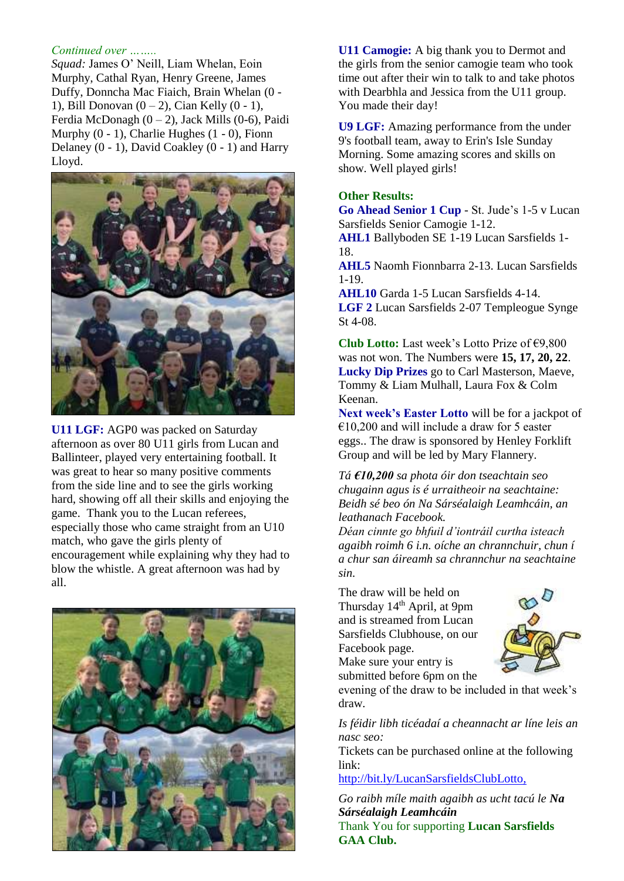#### *Continued over ……..*

*Squad:* James O' Neill, Liam Whelan, Eoin Murphy, Cathal Ryan, Henry Greene, James Duffy, Donncha Mac Fiaich, Brain Whelan (0 - 1), Bill Donovan  $(0 - 2)$ , Cian Kelly  $(0 - 1)$ , Ferdia McDonagh  $(0 - 2)$ , Jack Mills  $(0 - 6)$ , Paidi Murphy  $(0 - 1)$ , Charlie Hughes  $(1 - 0)$ , Fionn Delaney (0 - 1), David Coakley (0 - 1) and Harry Lloyd.



**U11 LGF:** AGP0 was packed on Saturday afternoon as over 80 U11 girls from Lucan and Ballinteer, played very entertaining football. It was great to hear so many positive comments from the side line and to see the girls working hard, showing off all their skills and enjoying the game. Thank you to the Lucan referees, especially those who came straight from an U10 match, who gave the girls plenty of encouragement while explaining why they had to blow the whistle. A great afternoon was had by all.



**U11 Camogie:** A big thank you to Dermot and the girls from the senior camogie team who took time out after their win to talk to and take photos with Dearbhla and Jessica from the U11 group. You made their day!

**U9 LGF:** Amazing performance from the under 9's football team, away to Erin's Isle Sunday Morning. Some amazing scores and skills on show. Well played girls!

#### **Other Results:**

**Go Ahead Senior 1 Cup** - St. Jude's 1-5 v Lucan Sarsfields Senior Camogie 1-12.

**AHL1** Ballyboden SE 1-19 Lucan Sarsfields 1- 18.

**AHL5** Naomh Fionnbarra 2-13. Lucan Sarsfields 1-19.

**AHL10** Garda 1-5 Lucan Sarsfields 4-14. **LGF 2** Lucan Sarsfields 2-07 Templeogue Synge

St 4-08. **Club Lotto:** Last week's Lotto Prize of €9,800 was not won. The Numbers were **15, 17, 20, 22**. **Lucky Dip Prizes** go to Carl Masterson, Maeve,

Tommy & Liam Mulhall, Laura Fox & Colm Keenan.

**Next week's Easter Lotto** will be for a jackpot of  $€10,200$  and will include a draw for 5 easter eggs.. The draw is sponsored by Henley Forklift Group and will be led by Mary Flannery.

*Tá €10,200 sa phota óir don tseachtain seo chugainn agus is é urraitheoir na seachtaine: Beidh sé beo ón Na Sárséalaigh Leamhcáin, an leathanach Facebook.*

*Déan cinnte go bhfuil d'iontráil curtha isteach agaibh roimh 6 i.n. oíche an chrannchuir, chun í a chur san áireamh sa chrannchur na seachtaine sin.*

The draw will be held on Thursday 14th April, at 9pm and is streamed from Lucan Sarsfields Clubhouse, on our Facebook page.

Make sure your entry is



submitted before 6pm on the evening of the draw to be included in that week's

draw.

*Is féidir libh ticéadaí a cheannacht ar líne leis an nasc seo:*

Tickets can be purchased online at the following link:

<http://bit.ly/LucanSarsfieldsClubLotto,>

*Go raibh míle maith agaibh as ucht tacú le Na Sárséalaigh Leamhcáin* Thank You for supporting **Lucan Sarsfields GAA Club.**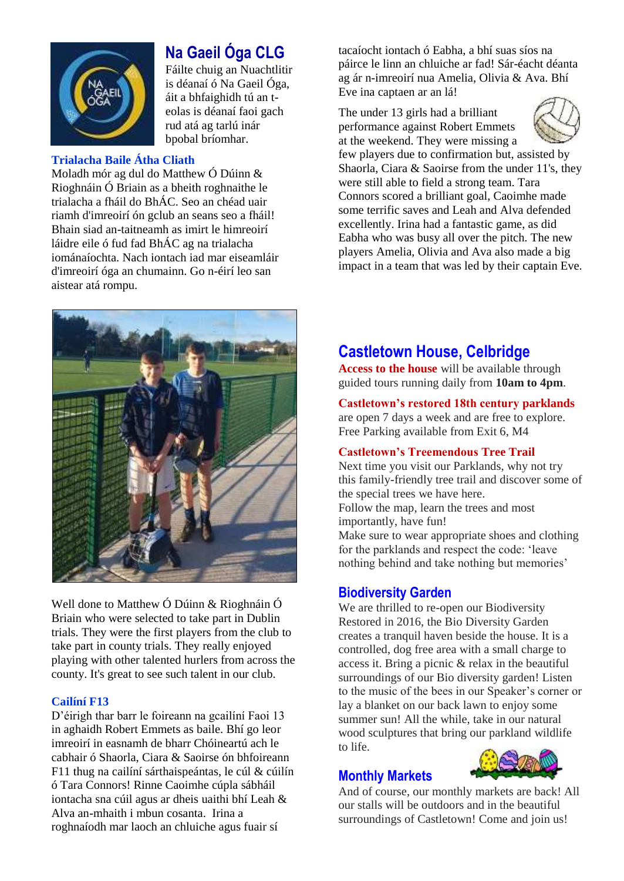

### **Na Gaeil Óga CLG**

Fáilte chuig an Nuachtlitir is déanaí ó Na Gaeil Óga, áit a bhfaighidh tú an teolas is déanaí faoi gach rud atá ag tarlú inár bpobal bríomhar.

### **Trialacha Baile Átha Cliath**

Moladh mór ag dul do Matthew Ó Dúinn & Rioghnáin Ó Briain as a bheith roghnaithe le trialacha a fháil do BhÁC. Seo an chéad uair riamh d'imreoirí ón gclub an seans seo a fháil! Bhain siad an-taitneamh as imirt le himreoirí láidre eile ó fud fad BhÁC ag na trialacha iománaíochta. Nach iontach iad mar eiseamláir d'imreoirí óga an chumainn. Go n-éirí leo san aistear atá rompu.



Well done to Matthew Ó Dúinn & Rioghnáin Ó Briain who were selected to take part in Dublin trials. They were the first players from the club to take part in county trials. They really enjoyed playing with other talented hurlers from across the county. It's great to see such talent in our club.

#### **Cailíní F13**

D'éirigh thar barr le foireann na gcailíní Faoi 13 in aghaidh Robert Emmets as baile. Bhí go leor imreoirí in easnamh de bharr Chóineartú ach le cabhair ó Shaorla, Ciara & Saoirse ón bhfoireann F11 thug na cailíní sárthaispeántas, le cúl & cúilín ó Tara Connors! Rinne Caoimhe cúpla sábháil iontacha sna cúil agus ar dheis uaithi bhí Leah & Alva an-mhaith i mbun cosanta. Irina a roghnaíodh mar laoch an chluiche agus fuair sí

tacaíocht iontach ó Eabha, a bhí suas síos na páirce le linn an chluiche ar fad! Sár-éacht déanta ag ár n-imreoirí nua Amelia, Olivia & Ava. Bhí Eve ina captaen ar an lá!

The under 13 girls had a brilliant performance against Robert Emmets at the weekend. They were missing a



few players due to confirmation but, assisted by Shaorla, Ciara & Saoirse from the under 11's, they were still able to field a strong team. Tara Connors scored a brilliant goal, Caoimhe made some terrific saves and Leah and Alva defended excellently. Irina had a fantastic game, as did Eabha who was busy all over the pitch. The new players Amelia, Olivia and Ava also made a big impact in a team that was led by their captain Eve.

### **Castletown House, Celbridge**

**Access to the house** will be available through guided tours running daily from **10am to 4pm**.

#### **Castletown's restored 18th century parklands**

are open 7 days a week and are free to explore. Free Parking available from Exit 6, M4

#### **Castletown's Treemendous Tree Trail**

Next time you visit our Parklands, why not try this family-friendly tree trail and discover some of the special trees we have here. Follow the map, learn the trees and most

importantly, have fun!

Make sure to wear appropriate shoes and clothing for the parklands and respect the code: 'leave nothing behind and take nothing but memories'

### **Biodiversity Garden**

We are thrilled to re-open our Biodiversity Restored in 2016, the Bio Diversity Garden creates a tranquil haven beside the house. It is a controlled, dog free area with a small charge to access it. Bring a picnic & relax in the beautiful surroundings of our Bio diversity garden! Listen to the music of the bees in our Speaker's corner or lay a blanket on our back lawn to enjoy some summer sun! All the while, take in our natural wood sculptures that bring our parkland wildlife to life.

### **Monthly Markets**

And of course, our monthly markets are back! All our stalls will be outdoors and in the beautiful surroundings of Castletown! Come and join us!